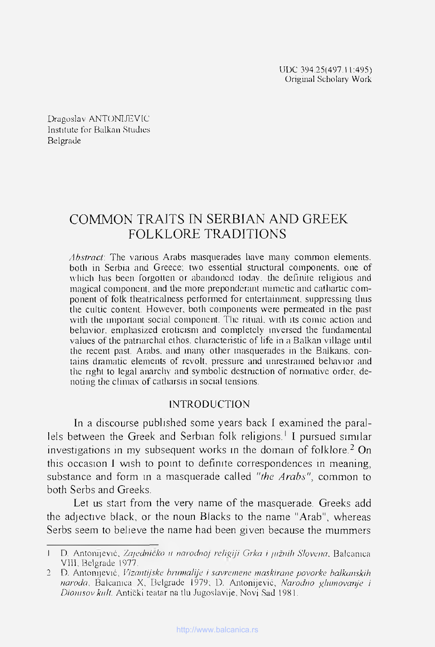UDC 394.25(497.11:495) Original Scholary Work

Dragoslav ANTONIJEV1C Institute for Balkan Studios Belgrade

# COMMON TRAJTS IN SERBIAN AND GREEK FOLKLORE TRADITIONS

*Abstract*: The various Arabs masquerades have many common elements, both in Serbia and Greece; two essential stnictural components, one of which has been forgotten or abandoned today, the definite religious and magical component, and the more preponderant mimetic and cathartic component of folk theatricalness performed for entertainment, suppressing Unis the cultic content. However, both components were permeated in the past with the important social component. The ritual, with its comic action and behavior, emphasized eroticism and completely inversed the fundamental values of the patnarchal ethos, characteristic of life in a Balkan village until tbe recent past. Arabs. and inany other masquerades in tbe Balkans, contains dramatic elements of revolt, pressure and unrestrained behavior and the right to legal anarchy and symbolic destruction of normative order, denoting the climax of catharsis in social tensions.

#### INTRODUCTION

In a discourse published some years back I examined the parallels between the Greek and Serbian folk religions.<sup>1</sup> I pursued similar investigations in my subsequent works in the domain of folklore.<sup>2</sup> On this occasion I wish to point to definite correspondences in meaning, substance and form in a masquerade called *"the Arabs",* common to both Serbs and Greeks.

Let us start from the very name of the masquerade. Greeks add the adjective black, or the noun Blacks to the name "Arab", whereas Serbs seem to believe the name had been given because the mummers

<sup>1</sup> D. Antonijević, Zajedničko u narodnoj religiji Grka i južnih Slovena, Balcanica VIH. Belgrade 1977.

<sup>2</sup> D. Antonijevié, *Vizantijske brumalije i suvrcmene maskirane povorke balkanskih naroda,* Baleunica X. Belgrade 1979; D. Antonijevié, *Narodno ghunovcmje i Dionisov knlt.* Anticki teatar na tlu Jugoslavije, Novi Sad 1981.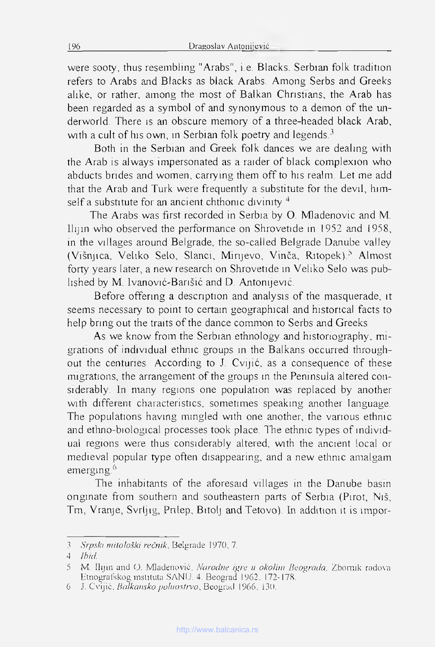were sooty, thus resembling "Arabs", i.e. Blacks. Serbian folk tradition refers to Arabs and Blacks as black Arabs. Among Serbs and Greeks alike, or rather, among the most of Balkan Christians, the Arab has been regarded as a symbol of and synonymous to a démon of the underworld. There is an obscure memory of a three-headed black Arab, with a cult of his own, in Serbian folk poetry and legends. $3$ 

Both in the Serbian and Greek folk dances we are dealing with the Arab is always impersonated as a raider of black complexion who abducts brides and women, carrying them off to his realm. Let me add that the Arab and Turk were frequently a substitute for the devil, himself a substitute for an ancient chthonic divinity  $4$ 

The Arabs was first recorded in Serbia by O. Mladenovic and M. Ilijm who observed the performance on Shrovetide in 1952 and 1958, in the villages around Belgrade, the so-called Belgrade Danube valley (Višnjica, Veliko Selo, Slanci, Minjevo, Vinča, Ritopek).<sup>5</sup> Almost forty years later, a new research on Shrovetide in Veliko Selo was published by M. Ivanović-Barišić and D. Antonijević.

Before offering a description and analysis of the masquerade, it seems necessary to point to certain geographical and histoncal facts to help bring out the traits of the dance common to Serbs and Greeks.

As we know from the Serbian ethnology and histonography, migrations of individual ethnie groups in the Balkans occurred throughout the centuries. According to J. Cvijić, as a consequence of these migrations, the arrangement of the groups in the Pemnsula altered considerably. In many regions one population was replaced by another with different characteristics, sometimes speaking another language. The populations having mingled with one another, the various ethnic and ethno-biological processes took place. The ethnie types of mdividual regions were thus considerably altered, with the ancient local or medieval popular type often disappearing, and a new ethnic amalgam emerging<sup>6</sup>

The inhabitants of the aforesaid villages in the Danube basin onginate from Southern and southeastern parts of Serbia (Pirot, Niš, Tm, Vranje, Svrljig, Pnlep, Bitolj and Tetovo). In addition it is impor-

<sup>3</sup> *Srpski mitološki rečnik*, Belgrade 1970, 7.

<sup>4</sup> *Ibid.*

<sup>5</sup> M. Ilijin and O. Mladenović. *Narodne igre u okolim Beograda*, Zbomik radova Btnografskog mslituta SANU. 4. Beograd 1962. 172-178.

<sup>6</sup> J. Cvijić. *Balkamko poluosdvo,* Beogrml 1966, 130.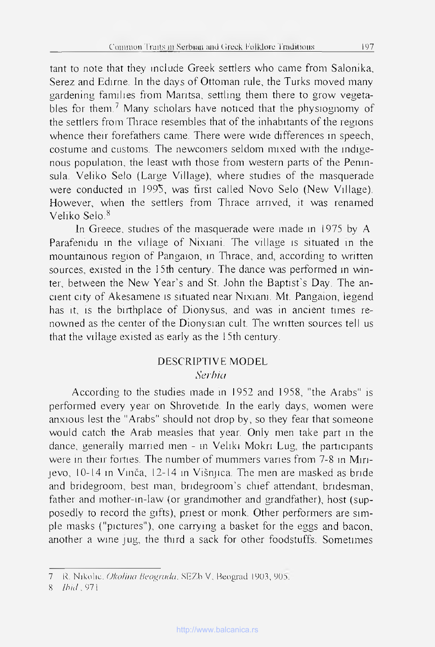tant to note that they include Greek settlers who came from Salonika, Serez and Edirne. In the days of Ottoman mie, the Turks moved many gardening familles from Mantsa, settlmg them there to grow vegetables for them.<sup>7</sup> Many scholars have noticed that the physiognomy of the settlers from Thrace resembles that of the inhabitants of the regions whence their forefathers came. There were wide differences in speech, costume and customs. The newcomers seldom mixed with the mdigenous population, the least with those from western parts of the Pemnsula. Veliko Selo (Large Village), where studies of the masquerade were conducted in 1995, was first called Novo Selo (New Village). However, when the settlers from Thrace arrived, it was renamed Veliko Selo.8

In Greece, studies of the masquerade were made in 1975 by A. Parafemdu in the village of Nixiani. The village is situated in the mountainous région of Pangaion, in Thrace, and, according to written sources, existed in the 15th century. The dance was performed in winter, between the New Year's and St. John the Baptist's Day. The ancient city of Akesamene is situated near Nixiani. Mt. Pangaion, legend has it, is the birthplace of Dionysus, and was in ancient times renowned as the center of the Dionysian cuit. The written sources tell us that the village existed as early as the 1 5th century.

### DESCRIPTIVE MODEL *Serbiei*

According to the studies made in 1952 and 1958, "the Arabs" is performed every year on Shrovetide. In the early days, women were anxious lest the "Arabs" should not drop by, so they fear that someone would catch the Arab measles that year. Only men take part m the dance, generally married men - in Veliki Mokri Lug, the participants were in their forties. The number of mummers varies from 7-8 in Mirijevo, 10-14 m Vinča, 12-14 in Višnjica. Tire men are masked as bride and bridegroom, best man, bridegroom's chief attendant, bridesman, father and mother-in-law (or grandmother and grandfather), host (supposedly to record the gifts), priest or monk. Other performers are simple masks ("pictures"), one carrying a basket for the eggs and bacon, another a wine jug, the third a sack for other foodstuffs. Sometimes

<sup>7</sup> R. Nikolic. Okolina Beograda, SEZb V, Reograd 1903, 905.

S *Ihnl,* 97 1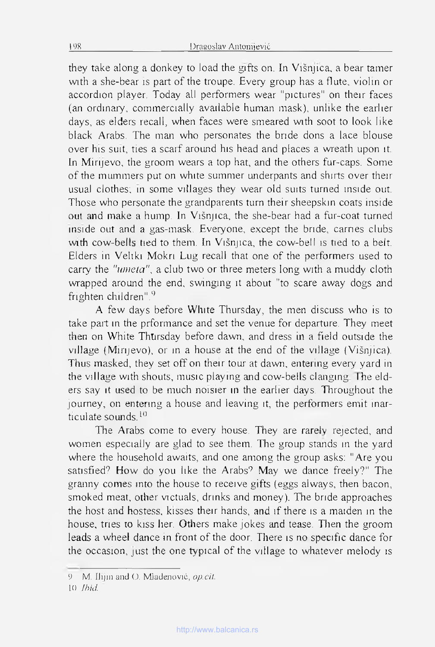they take along a donkey to load the gifts on, In Višnjica, a bear tamer with a she-bear is part of the troupe. Every group has a flute, violin or accordion player. Today ail performers wear "pictures" on their faces (an ordinary, commercialiy available human mask), unlike the earlier days, as elders recall, when faces were smeared with soot to look like black Arabs. The man who personates the bride dons a lace blouse over his suit, ties a scarf around his head and places a wreath upon it. In Mirijevo, the groom wears a top hat, and the others fur-caps. Some of the muminers put on white summer underpants and shirts over their usual clothes; in some villages they wear old suits turned inside out. Those who personate the grandparents tum their sheepskin coats inside out and make a hump. In Višnjica, the she-bear had a fur-coat turned inside out and a gas-mask. Everyone, except the bride, carnes clubs with cow-bells tied to them. In Višnjica, the cow-bell is tied to a belt. Elders in Veliki Mokri Lug recall that one of the performers used to carry the "umeta", a club two or three meters long with a muddy cloth wrapped around the end, swinging it about "to scare away dogs and frighten children".<sup>9</sup>

A few days before Wlnte Thursday, the men discuss who is to take part in the prformance and set the venue for departure, They meet then on White Thtirsday before dawn, and dress in a field outside the village (Mirijevo), or in a house at the end of the village (Višnjica). Thus masked, they set off on their tour at dawn, entering every yard in the village with shouts, music playing and cow-bells clanging. The elders say it used to be much noisier in the earlier days. Throughout the journey, on entering a house and leaving it, the performers emit inarticulate sounds.<sup>10</sup>

The Arabs come to every house. They are rarely rejected, and women especially are glad to see them. The group stands in the yard where the household awaits, and one among the group asks: "Are you satisfied? How do you like the Arabs? May we dance freely?" The granny cornes into the house to receive gifts (eggs always, then bacon, smoked meat, other victuals, drinks and money). The bride approaches the host and hostess, kisses their hands, and if there is a maiden in the house, tries ю kiss lier. Others make jokes and tease. Then the groom leads a wheel dance in front of the door. There is no specific dance for the occasion, just the one typical of the village to whatever melody is

У M. IJi|in and O. MJadenović, *op.cil.*

K) *Jhid*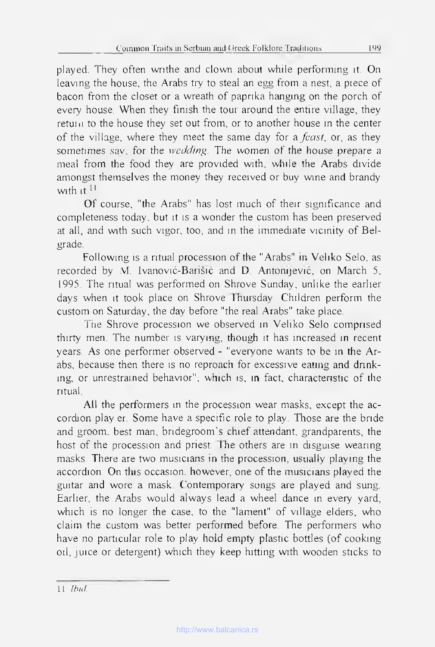played. They often writhe and clown about while performing it. On leaving the house, the Arabs try to steal an egg from a nest, a piece of bacon from the closet or a wreath of paprika hanging on the porch of every house. When they finish the tour around the entrre village, they retun to the house they set out from, or to another house in the center of the village, where they meet the same day for *afcast,* or, as they sometimes say, for the *wedding*. The women of the house prepare a meal from the food they are provided with, while the Arabs divide amongst themselves the money they received or buy wine and brandy with it.<sup>11</sup>

Of course, "the Arabs" has lost much of their significance and completeness today. but it îs a wonder the custom has been preserved at ail, and with such vigor, too, and in the immédiate vicinity of Belgrade.

Following îs a ritual procession of the "Arabs" in Veliko Selo, as recorded by M. Ivanović-Barišić and D. Antomjevié, on March 5, 1995. The ritual was performed on Shrove Sunday, unlike the earlier days when it took place on Shrove Thursday. Children perform the custom on Saturday, the day before "the real Arabs" take place.

The Shrove procession we observed in Veliko Selo comprised thirty men. The number is varying, though it has increased in recent years. As one performer observed - "everyone wants to be in the Arabs, because then there is no reproach for excessive eattng and drinking, or unrestrained behavior", which is, in fact, characteristic of the ritual.

All the performers in the procession wear masks, except the accordion play er. Some have a specific role to play. Those are the bride and groom, best man, bridegroom's chief attendant, grandparents, the host of the procession and priest. The others are in disguise wearing masks. There are two musicians in the procession, usuaily playing the accordion. On tins occasion, however, one of the musicians played the guitar and wore a mask. ('ontemporary songs are played and sung. Earlier, the Arabs would always lead a wheel dance in every yard, which is no longer the case, to the "lament" of village elders, who claim the custom was better performed before. The performers who have no particular role to play hold empty plastic bottles (of cooking oii, juice or detergent) which they keep hitting with wooden sticks to

Il *Ibid*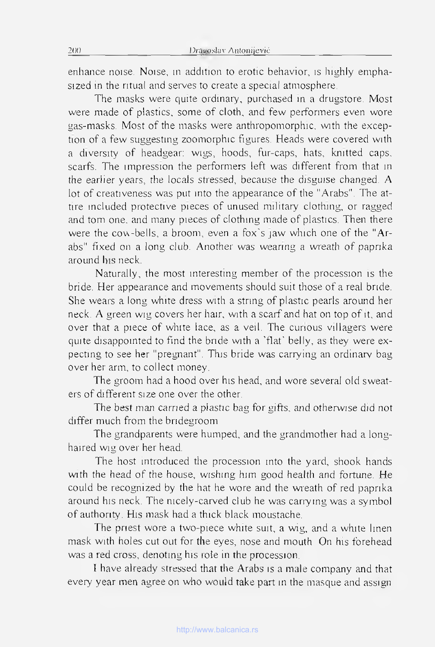enhance noise. Noise, m addition to erotic behavior, îs highly emphasized in the ritual and serves to create a spécial atmosphère.

The masks were quite ordinary, purchased in a drugstore. Most were made of plastics, some of cloth, and few performers even wore gas-masks. Most of the masks were anthropomorphic, with the exception of a few suggesting zoomorphic figures. Heads were covered with a diversity of headgear: wigs, hoods, fur-caps, hats, knitted caps, scarfs. The impression the performers left was different from that in the earlier years, the locals stressed, because the disguise changed. A lot of creativeness was put into the appearance of the "Arabs". The attire included protective pieces of unused military clothing, or ragged and tom one, and many pieces of clothing made of plastics. Then there were the cow-bells, a broom, even a fox's jaw which one of the "Arabs" fixed on a long club. Another was wearing a wreath of paprika around his neck.

Naturally, the most interesting member of the procession îs the bride. Her appearance and movements should suit those of a real bride. She wears a long white dress with a string of plastic pearls around her neck. A green wig covers her hair, with a scarf and hat on top of it, and over that a piece of white lace, as a veil. The cunous villagers were quite disappointed to find the bride with a 'flat' belIy, as they were expecting to see her "pregnant". This bride was carrying an ordinary bag over her arm, to collect money.

The groom had a hood over his head, and wore several old sweaters of different size one over the other.

The best man carried a plastic bag for gifts, and otherwise did not differ much from the bridegroom.

The grandparents were humped, and the grandmother had a longhaired wig over her head.

The host introduced the procession into the yard, shook hands with the head of the house, wishing him good health and fortune. He could be recognized by the hat he wore and the wreath of red paprika around his neck. The nicely-carved club he was сапу ing was a symbol of authority. His mask had a thick black moustache.

The priest wore a two-piece white suit, a wig, and a white linen mask with holes eut out for the eyes, nose and mouth. On his forehead was a red cross, denoting his role in the procession.

I hâve already stressed that the Arabs is a male company and that every year men agree on who would take part in the masque and assign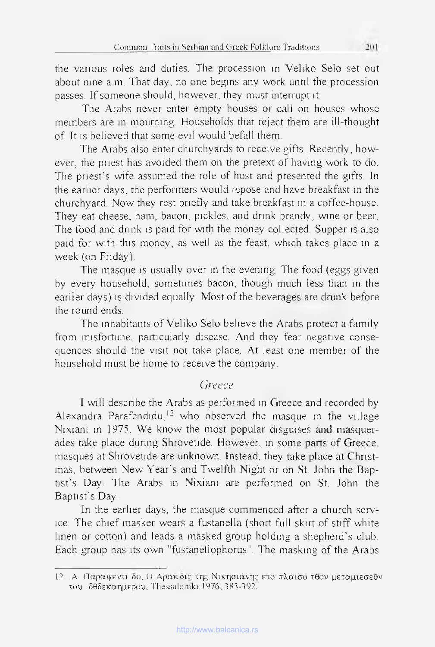the various roles and duties. The procession in Veliko Selo set out about nine a.m. That day, no one begins any vvork until the procession passes. If someone should, however, they must interrupt it.

The Arabs never enter empty houses or call on houses whose members are in mourmng. Households that reject them are ill-thought of. It is believed that some evil would befall them.

The Arabs also enter churchyards to receive gifts. Recently, however, the pnest has avoided them on the pretext of having work to do. The priest's wife assumed the role of host and presented the gifts. In the earlier days, the performers would repose and hâve breakfast m the churchyard. Now they rest briefly and take breakfast in a coffee-house. They eat cheese, ham, bacon, pickles, and drink brandy, wine or beer. The food and drink is paid for with the money collected. Supper is also paid for with this money, as well as the feast, which takes place in a week (on Friday).

The masque is usually over in the evening. The food (eggs given by every household, sometimes bacon, though much less than in the earlier days) is divided equally. Most of the beverages are drunk before the round ends.

The inhabitants of Veliko Selo believe the Arabs protect a famiiy from misfortune, particularly disease. And they fear negative consequences should the visit not take place. At least one member of the household must be home to receive the company.

## *Greece*

I will describe the Arabs as performed in Greece and recorded by Alexandra Parafendidu,<sup>12</sup> who observed the masque in the village Nixiani m 1975. We know the most popular disguises **and** masquerades take place during Shrovetide. However, in some parts of Greece, masques at Shrovetide are unknown. Instead, they take place at Christmas, between New Year's and Twelfth Night or on St. John the Baptist's Day. The Arabs in Nixiani are performed on St. John the Baptist's Day.

In the earlier days, the masque commenced after a church service. The chief masker wears a fustanella (short full skirt of stiff white linen or cotton) and leads a masked group holding a shepherd's club. Each group has its own "fustanellophorus". The masking of the Arabs

<sup>12</sup> A. Παραψεντι δο, Ο Αραπ δις της Νικησιανης ετο πλαισο τθον μεταμιεσεθν του δθδεκαημερου, Thessalomki 1976, 383-392.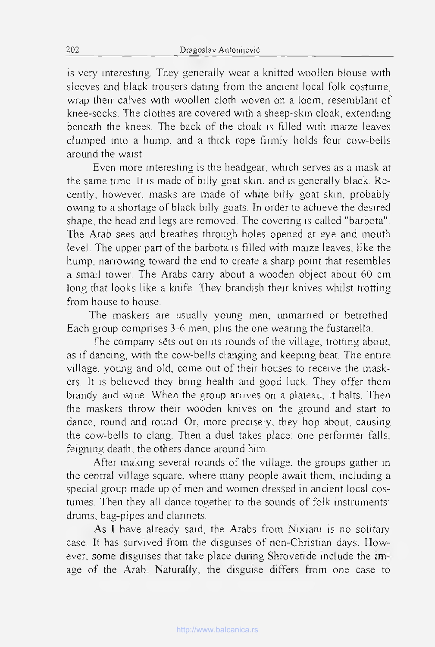is very interestmg. They generally wear a knitted woollen blouse with sleeves and black trousers dating from the ancient local folk costume, wrap their calves with woollen cloth woven on a loom, resemblant of knee-socks. The clothes are covered with asheep-skin cloak, extending beneath the knees. The back of the cloak is filled with maize leaves clumped into a hump, and a thick горе firmly holds four cow-bells around the waist.

Even more interesting is the headgear, which serves as a mask at the same time. It is made of billy goat skin, and is generally black. Recently, however, masks are made of white billy goat skin, probably owing to a shortage of black billy goats. In order to achieve the desired shape, the head and legs are removed. The covenng is called "barbota". The Arab sees and breathes through holes opened at eye and mouth level. The upper part of the barbota is filled with maize leaves, like the hump, narrowing toward the end to create a sharp point that resembles a small tower. The Arabs сапу about a wooden object about 60 cm long that looks like a knife. They brandish their knives whilst trotting from house to house.

The maskers are usually young men, unmarned or betrothed. Each group comprises 3-6 men, plus the one wearing the fustanella.

The company sets out on its rounds of the village, trotting about, as if dancing, with the cow-bells clanging and keeping beat. The entire village, young and old, come out of their houses to receive the maskers. It is beheved they bring health and good luck. They offer them brandy and wine. When the group arrives on a plateau, it halts. Then the maskers throw their wooden knives on the ground and start to dance, round and round. Or, more precisely, they hop about, causing the cow-bells to clang. Then a duel takes place: one performer falls. feigmng death, the others dance around him.

After making several rounds of the village, the groups gather in the central village square, where many people await them, including a special group made up of men and women dressed in ancient local costumes. Then they ail dance together to the sounds of folk instruments: drums, bag-pipes and clarinets.

As I have already said, the Arabs from Nixiani is no solitary case. It has survived from the disguises of non-Christian days. However, some disguises that take place during Shrovetide include the image of the Arab. Naturally, the disguise differs from one case to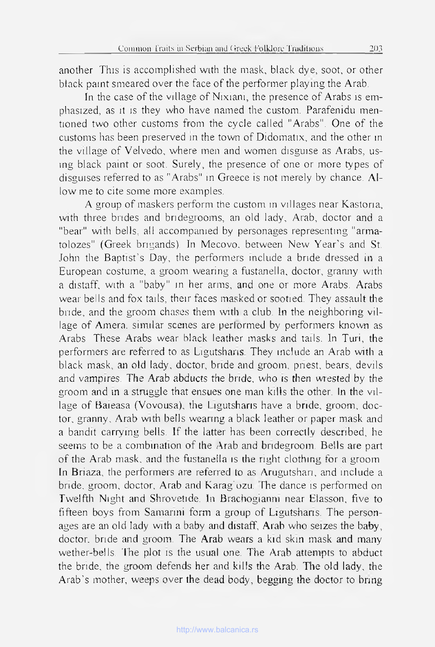another This is accomplished with the mask, black dye, soot, or other black paint smeared over the face of the performer playmg the Arab.

In the case of the village of Nixiani, the presence of Arabs is emphasized, as it is they who hâve named the custom. Parafenidu mentioned two other customs from the cycle called "Arabs". One of the customs has been preserved in the town of Didomatix, and the other in the village of Velvedo, where men and women disguise as Arabs, using black paint or soot. Surely, the presence of one or more types of disguises referred to as "Arabs" in Greece is not merely by chance. Л1 low me to cite some more examples.

A group of maskers perform the custom m villages near Kastoria, with three brides and bridegrooms, an old lady, Arab, doctor and a "bear" with bells, all accompanied by personages representing "armatolozes" (Greek brigands). In Mecovo, between New Year's and St. John the Baptist's Day, the performers include a bride dressed in a European costume, a groom wearing a fustanella, doctor, granny with a distaff, with a "baby" m her arms, and one or more Arabs. Arabs wear bells and fox tails, their faces masked or sootied. They assault the bride, and the groom chases them with a club. In the neighboring village of Amera, similar scenes are performed by performers known as Arabs. These Arabs wear black leather masks and tails. In Turi, the performers are referred to as Ligutshans. They include an Arab with a black mask, an old lady, doctor, bride and groom, priest, bears, devils and vampires. The Arab abducts the bride, who is then wrested by the groom and in a struggle that ensues one man kiIls the other. In the village of Baieasa (Vovousa), the Ligutsharis have a bride, groom, doctor, granny, Arab with bells wearing a black leather or paper mask and a bandit carrying bells. If the latter has been correctly descnbed, he seems to be a combination of the Arab and bridegroom. Bells are part of the Arab mask, and the fustanella is the nght clothing for a groom. In Briaza, the performers are referred to as Arugutshan, and include a bride, groom, doctor, Arab and Karag'uzu. The dance is performed on Twelfth Night and Shrovetide. In Brachogianm near Elasson, five to fifteen boys from Samarini form a group of Ligutshans. The personages are an old lady with a baby and distaff, Arab who seizes the baby, doctor. bride and groom. The Arab wears a kid skin mask and many wether-bells. The plot is the usual one. The Arab atlempls to abduct the bride, the groom defends her and kills the Arab. The old lady, the Arab's mother, weeps over the dead body, begging the doctor to bring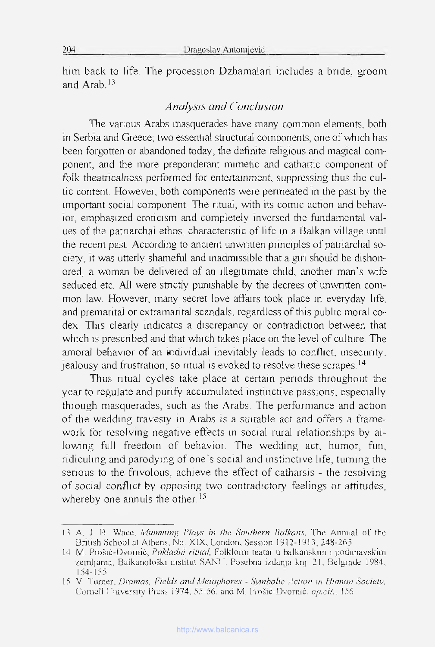him back to life. The procession Dzhamalan includes a bride, groom and Arab. $13$ 

### *Analysis and Conclusion*

The various Arabs masquerades have many common elements, both in Serbia and Greece; two essenhal structural components, one of which has been forgotten or abandoned today, the defimte religious and magical component, and the more preponderant mimetic and cathartic component of folk theatncalness performed for entertainment, suppressing thus the cultic content. However, both components were permeated in the past by the important social component. The ritual, with its comic action and behav-ЮГ, emphasized eroticism and completely inversed the fundamental values of the patnarchal ethos, charactenstic of life in a Balkan village until the recent past. According to ancient unwntten pnnciples of patnarchal society, it was utterly shameful and inadmissible that a girl should be dishonored, a woman be delivered of an îllegitimate chtld, another man's wife seduced etc. All were stnctly purushable by the decrees of unwntten common law. However, many secret love affarrs took place in everyday life, and premarital or extramantal scandais, regardless of this public moral codex. Tins clearly indicates a discrepancy or contradiction between that which is prescribed and that which takes place on the level of culture. The amoral behavior of an mdividual inevitabiy leads to confhct, msecunty, jealousy and frustration, so ritual îs evoked to résolve these scrapes.14

Thus ritual cycles take place at certain periods throughout the year to regulate and punfy accumulated instinctive passions, especially through masquerades, such as the Arabs. The performance and action of the wedding travesty in Arabs is a suitable act and offers a framework for resolving negative effects in social rural relationships by allowing full freedom of behavior. The wedding act, humor, fun, ridiculing and parodying of one's social and instinctive life, tuming the senous to the frivolous, achieve the effect of catharsis - the resolving of social conflict by opposing two contradictory feelings or attitudes, whereby one annuls the other.<sup>15</sup>

<sup>13</sup> A. J. B. Wace, *Mumming P/avs in the Southern Balkans,* The Annual of the Bntish School at Athens, No. XIX, London, Session 1912-1913, 248-265

<sup>14</sup> M. Prošić-Dvomić, *Pokladm ritual,* Folklomi teatar u balkanskim î podunavskim zemljama, Balkanološki institut SANU. Posebna izdanja knj 21. Belgrade 1984, I54-155

<sup>15</sup> V Turner, *Drainas, Ficlds and Métaphores - Symbohc Action m Human Society,* Comell t 'niversity Press 1974, 55-56. and M. Prošić-Dvormć. *ap.cit..* 156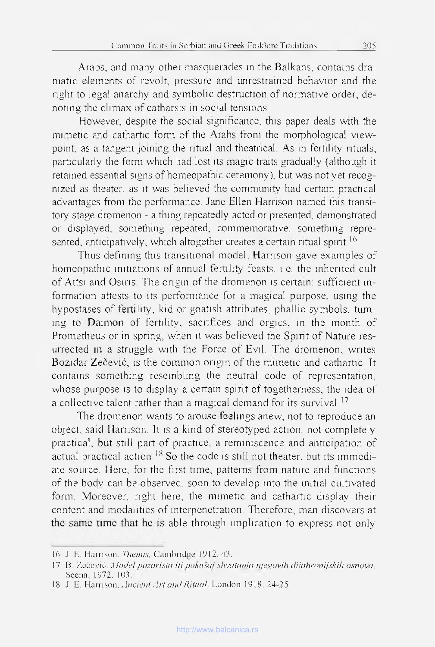Arabs, and many other masquerades tn the Balkans, contains dramatic elements of revolt, pressure and unrestrained behavior and the right to legal anarchy and symbolic destmction of normative order, denoting the climax of catharsis in social tensions.

However, despite the social sigmficance, this paper deals wrth the mimetic and cathartic form of the Arabs from the morphological viewpoint, as a tangent joining the ritual and theatrical. As in fertility rituals, particularly the forrn which had lost its magic traits graduaily (although it retained essential signs of homéopathie ceremony), but was notyet recognized as theater, as it was beheved the community had certain practical advantages from the performance. Jane Ellen Harrison named this transitory stage dromenon - a thing repeatedly acted or presented, demonstrated or displayed, something repeated, commemorative, something represented, anticipatively, which altogether creates a certain ritual spint.<sup>16</sup>

Thus defining this transitional model, Harrison gave examples of homeopathic initiations of annual fertility feasts, i.e. the inherited cult of Attsi and Osiris. The origm of the dromenon îs certain: sufficient information attests to îts performance for a magical purpose. using the hypostases of fertility, kid or goatish attributes, phallic symbols, tuming to Daimon of fertility, sacrifices and orgies, in the month of Prometheus or in spring, when it was believed the Spirit of Nature resurrected ni a struggle with the Force of Evil. The dromenon, writes Bozidar Zečević, is the common origin of the mimetic and cathartic. It contains something resembling the neutral code of representation, whose purpose is to display a certain spirit of togetherness, the idea of a collective talent rather than a magical demand for its survival.<sup>17</sup>

The dromenon wants to arouse feelings anew, not to reproduce an object, said Harrison, It is a kind of stereotyped action, not completely practical, but still part of practice, a réminiscence and anticipation of actual practical action.<sup>18</sup> So the code is still not theater, but its immediate source. Here, for the first time, patterns from nature and functions of the bodv can be observed, soon to develop mto the initial cultivated form. Moreover, right here, the munetic and cathartic display their content and modalities of interpenetration. Therefore, man discovers at the same time that he is able through implication to express not only

<sup>16</sup> J. F. Harrison. *Thémis,* Cambridge 1912,43.

<sup>17</sup> B. Zeèevié. *Model oozorišia i/i ookusai shvalania nieuovih dijahronijskih osnova,* Scena. 1972. 103.

<sup>18</sup> J. E. Harrison, *Ancien! Arl and Riluak* London 1918. 24-25.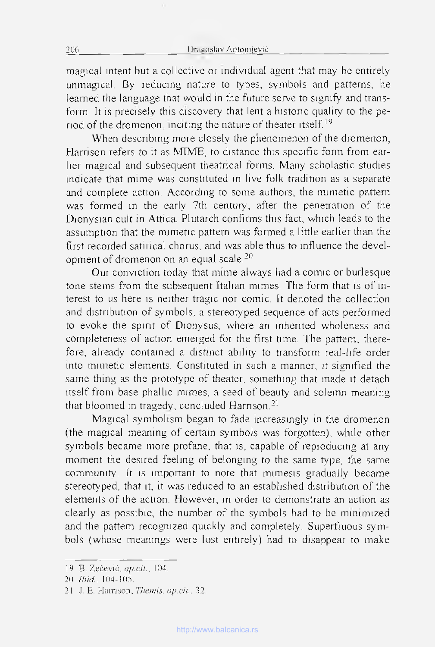magical intent but a collective or mdividual agent that may be entireiy unmagical. By reducing nature to types, symbols and patterns, he Ieamed the language that would in the future serve to sigmfy and transform. It is precisely this discovery that lent a histonc quality to the period of the dromenon, inciting the nature of theater itself.19

When describing more closely the phenomenon of the dromenon, Harrison refers to it as MIME, to distance this specific form from earlier magical and subséquent theatrical forms. Many scholastic studies indicate that mime was constituted in live folk tradition as a separate and complété action. According to some authors, the mimetic pattern was formed in the early 7th century, after the penetration of the Dionysian cuit in Attica. Plutarch confirms this fact, which leads to the assumption that the mimetic pattern was formed a little earlier than the first recorded satuical chorus, and was able thus to influence the development of dromenon on an equal scale.20

Our conviction today that mime always had a comic or burlesque tone stems from the subsequent Italian mimes. The form that is of interest to us here is neither tragic nor comic. It denoted the collection and distribution of symbols, a stereotyped sequence of acts performed to evoke the spirit of Dionysus, where an inherited wholeness and completeness of action emerged for the first time. The pattern, therefore, already contained a distinct ability to transform real-life order into mimetic éléments. Constituted in such a manner, it sigmfied the same thing as the prototype of theater, something that made it detach itself from base phallic mimes, a seed of beauty and solemn meaning that bloomed in tragedy, concluded Harrison.<sup>21</sup>

Magical symbolism began to fade increasingly in the dromenon (the magical meaning of certain symbols was forgotten), while other symbols became more profane, that is, capable of reproducing at any moment the desired feeling of belonging to the same type, the same community. It is important to note that mimesis gradually became stereotyped, that it, it was reduced to an established distribution of the éléments of the action. However, in order to demonstrate an action as clearly as possible, the number of the symbols had to be minimized and the pattern recognized quickly and completely. Superfluous symbols (whose meanings were lost entireiy) had to disappear to make

<sup>19</sup> B. Zečević, *op.cit.*, 104.

<sup>20</sup> *Ibid.*, 104-105.

<sup>21</sup> J. E. Harrison, *Themis, op.cit.*, 32.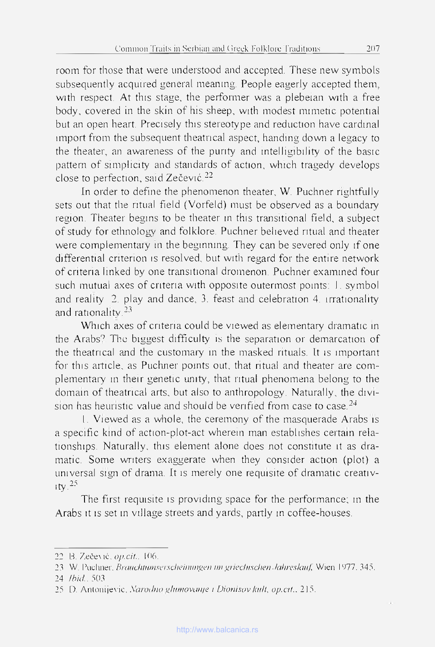room for those that were understood and accepted. These new symbois subsequently acquired general meaning. People eagerly accepted them, with respect, At this stage, the performer was a plebeian with a free body, covered in the skin of his sheep, with modest mimetic potential but an open heart. Precisely this stereotype and reduction have cardinal import from the subsequent theatrical aspect, handing down a legacy to the theater, an awareness of the purity and intelligibility of the basic pattern of simplicity and standards of action, which tragedy develops close to perfection, said Zečević.22

In order to defme the phenomenon theater, W. Puchner rightfully sets out that the ritual field (Vorfeld) must be observed as a boundary region. Theater begins to be theater in this transitional field, a subject of study for ethnoiogy and folklore. Puchner believed ritual and theater were complementary in the beginning. They can be severed only if one differential criterion is resolved, but with regard for the entire network of criteria linked by one transitional dromenon. Puchner examined four such mutual axes of criteria with opposite outermost points: 1. Symbol and reality 2. play and dance, 3. feast and celebration 4. irrationality and rationality.<sup>23</sup>

Which axes of criteria could be viewed as elementary dramatic in the Arabs? The biggest difficulty is the separation or demarcation of the theatrical and the customary in the masked rituals. It is important for this article, as Puchner points out, that ritual and theater are complementary m their genetic unity, that ritual phenomena belong to the domain of theatrical arts, but also to anthropology. Naturally, the division has heuristic value and should be verified from case to case. $24$ 

I. Viewed as a whole, the ceremony of the masquerade Arabs îs a specific kind of action-plot-act wherein man establishes certain relationships. Naturally, this element alone does not constitute it as dramatic. Some writers exaggerate when they consider action (plot) a universal sign of drama. It is merely one requisite of dramatic creativ- $\frac{1}{1}$ 

The first requisite is providmg space for the performance; m the Arabs it is set in village streets and yards, partly in coffee-houses.

<sup>22</sup> B. Zečević, *op.cit.*, 106.

<sup>23</sup> W. Pudmer. *Braiichlumsnischcinwtpcn un pricchischen .lahreslauf* Wien 1У77. 345.

<sup>24</sup> *Ibid..* 503

<sup>25</sup> D. Antonijevic, *Narodno glumovanje i Dionisov kalt, op.cit.*, 215.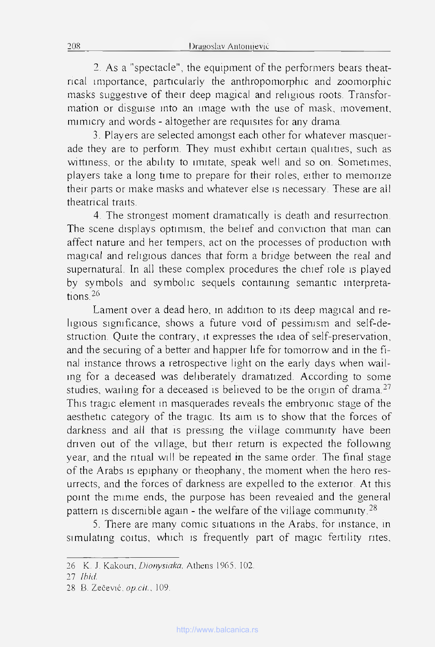2. As a "spectacle", the equipment of the performers bears theatrical importance, particularly the anthropomorphic and zoomorphic masks suggestive of their deep magical and religious roots. Transformation or disguise into an image with the use of mask, movement, mimicry and words - altogether are requisites for any drama.

3. Players are selected amongst each other for whatever masquerade they are to perform. They must exhibit certain qualities, such as wittiness, or the ability to imitate, speak well and so on. Sometimes, players take a long time to prepare for their roles, either to memorize their parts or make masks and whatever else is necessary. These are ail theatrical traits.

4. The strongest moment dramatically is death and resurrection. The scene displays optimism, the belief and conviction that man can affect nature and her tempers, act on the processes of production with magical and religious dances that form a bridge between the real and supernatural. In all these complex procedures the chief role is played by symbols and symbolic sequels containing semantic interpretations<sup>26</sup>

Lament over a dead hero, in addition to îts deep magical and religious sigmficance, shows a future void of pessimism and self-destruction. Quite the contrary, it expresses the idea of self-preservation, and the securing of a better and happier life for tomorrow and in the final instance throws a rétrospective light on the early days when wailmg for a deceased was deliberately dramatized. According to some studies, wailing for a deceased is believed to be the origin of drama.<sup>27</sup> This tragic element in masquerades reveals the embryomc stage of the aesthetic category of the tragic. Its aim is to show that the forces of darkness and all that is pressing the village community have been driven out of the village, but their retum is expected the following year, and the ntual will be repeated in the same order. The final stage of the Arabs is epiphany or theophany, the moment when the hero resurrects, and the forces of darkness are expelled to the exterior. At this point the mime ends, the purpose has been revealed and the general pattern is discemible again - the welfare of the village community.<sup>28</sup>

5. There are many comic situations in the Arabs, for instance, in simulating coitus, which is frequently part of magic fertility rites,

<sup>26</sup> K. J. Kakoun, *Dionysiaka,* Athens 1965. 102.

<sup>27</sup> *Ibid*

<sup>28 6.</sup> Zečević, *op.cit.,* 109.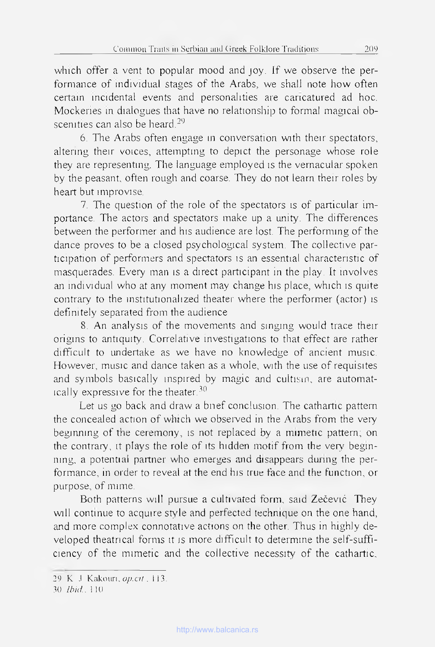which offer a vent to popular mood and joy. If we observe the performance of mdividual stages of the Arabs, we shall note how often certain încidental events and personalities are cancatured ad hoc. Mockeries in dialogues that have no relationship to formal magical obscenities can also be heard.<sup>29</sup>

6. The Arabs often engage in conversation with their spectators, altering their voices, attempting to depict the personage whose role they are representmg. The language employed îs the vernacular spoken by the peasant, often rough and coarse. They do not learn their roles by heart but improvise,

7. The question of the role of the spectators is of particular importance. The actors and spectators make up a unity. The différences between the performer and his audience are lost. The performing of the dance proves to be a closed psychological System. The collective participation of performers and spectators is an essential characteristic of masquerades. Every man is a direct participant in the play. It involves an mdividual who at any moment may change his place, which is quite contrary to the institutionalized theater where the performer (actor) is definitely separated from the audience

8. An analysis of the movements and singing would trace their origins to antiquity. Corrélative investigations to that effect are rather difficult to undertake as we have no knowledge of ancient music. However, music and dance taken as a whole, with the use of requisites and symbols basically mspired by magic and cultism, are automatically expressive for the theater.30

Let us go back and draw a bnef conclusion. The cathartic pattern the concealed action of which we obseiwed in the Arabs from the very begmmng of the ceremony, îs not replaced by a mimetic pattern; on the contrary, it plays the role of its hidden motif from the very beginning, a potential partner who emerges and disappears during the performance, in order to reveal at the end his truc face and the function, or purpose, of mime.

Both patterns wil! pursue a cultivated form, said Zečević. They will continue to acquire style and perfected technique on the one hand, and more complex connotative actions on the other. Thus in highly developed theatrical forms it is more difficult to détermine the self-sufficiency of the mimetic and the collective necessity of the cathartic.

<sup>29</sup> K J Kakouri, *op.cit*, 113.

<sup>30</sup> *Ib id .* 1 10